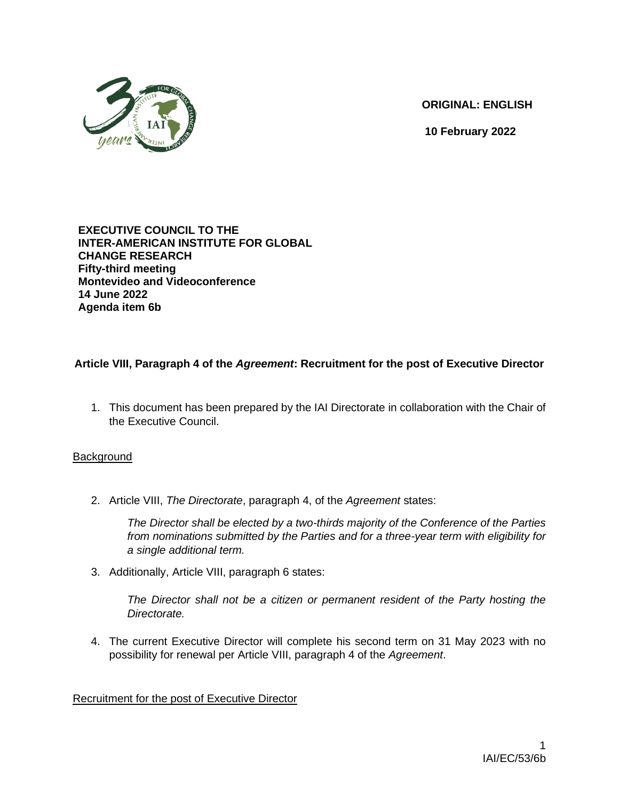

**ORIGINAL: ENGLISH**

**10 February 2022**

#### **EXECUTIVE COUNCIL TO THE INTER-AMERICAN INSTITUTE FOR GLOBAL CHANGE RESEARCH Fifty-third meeting Montevideo and Videoconference 14 June 2022 Agenda item 6b**

# **Article VIII, Paragraph 4 of the** *Agreement***: Recruitment for the post of Executive Director**

1. This document has been prepared by the IAI Directorate in collaboration with the Chair of the Executive Council.

### **Background**

2. Article VIII, *The Directorate*, paragraph 4, of the *Agreement* states:

*The Director shall be elected by a two-thirds majority of the Conference of the Parties from nominations submitted by the Parties and for a three-year term with eligibility for a single additional term.*

3. Additionally, Article VIII, paragraph 6 states:

*The Director shall not be a citizen or permanent resident of the Party hosting the Directorate.* 

4. The current Executive Director will complete his second term on 31 May 2023 with no possibility for renewal per Article VIII, paragraph 4 of the *Agreement*.

Recruitment for the post of Executive Director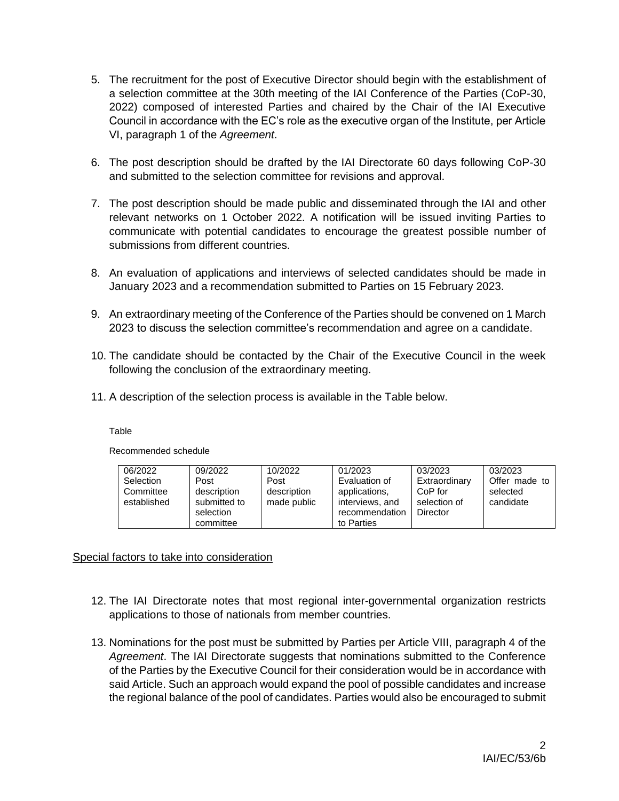- 5. The recruitment for the post of Executive Director should begin with the establishment of a selection committee at the 30th meeting of the IAI Conference of the Parties (CoP-30, 2022) composed of interested Parties and chaired by the Chair of the IAI Executive Council in accordance with the EC's role as the executive organ of the Institute, per Article VI, paragraph 1 of the *Agreement*.
- 6. The post description should be drafted by the IAI Directorate 60 days following CoP-30 and submitted to the selection committee for revisions and approval.
- 7. The post description should be made public and disseminated through the IAI and other relevant networks on 1 October 2022. A notification will be issued inviting Parties to communicate with potential candidates to encourage the greatest possible number of submissions from different countries.
- 8. An evaluation of applications and interviews of selected candidates should be made in January 2023 and a recommendation submitted to Parties on 15 February 2023.
- 9. An extraordinary meeting of the Conference of the Parties should be convened on 1 March 2023 to discuss the selection committee's recommendation and agree on a candidate.
- 10. The candidate should be contacted by the Chair of the Executive Council in the week following the conclusion of the extraordinary meeting.
- 11. A description of the selection process is available in the Table below.

Table

Recommended schedule

| 06/2022     | 09/2022      | 10/2022     | 01/2023         | 03/2023       | 03/2023       |
|-------------|--------------|-------------|-----------------|---------------|---------------|
| Selection   | Post         | Post        | Evaluation of   | Extraordinary | Offer made to |
| Committee   | description  | description | applications,   | CoP for       | selected      |
| established | submitted to | made public | interviews, and | selection of  | candidate     |
|             | selection    |             | recommendation  | Director      |               |
|             | committee    |             | to Parties      |               |               |

### Special factors to take into consideration

- 12. The IAI Directorate notes that most regional inter-governmental organization restricts applications to those of nationals from member countries.
- 13. Nominations for the post must be submitted by Parties per Article VIII, paragraph 4 of the *Agreement*. The IAI Directorate suggests that nominations submitted to the Conference of the Parties by the Executive Council for their consideration would be in accordance with said Article. Such an approach would expand the pool of possible candidates and increase the regional balance of the pool of candidates. Parties would also be encouraged to submit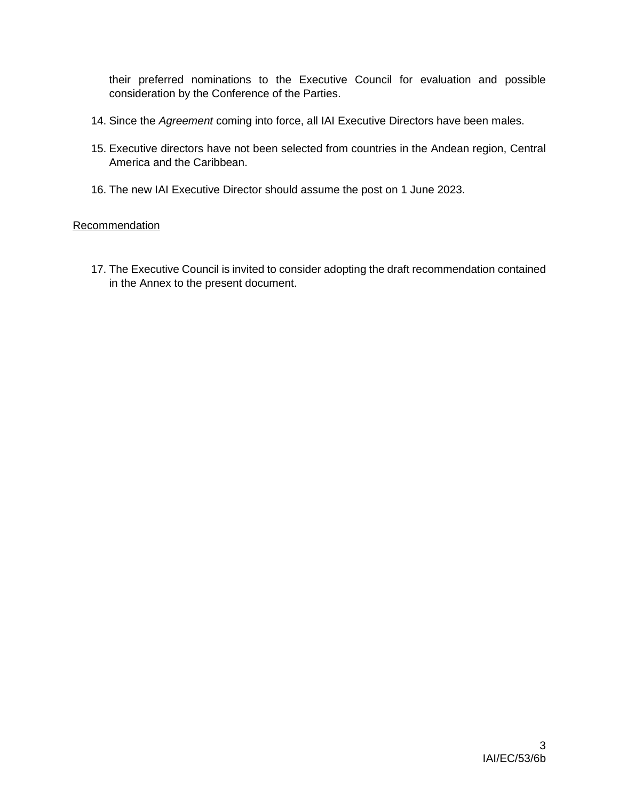their preferred nominations to the Executive Council for evaluation and possible consideration by the Conference of the Parties.

- 14. Since the *Agreement* coming into force, all IAI Executive Directors have been males.
- 15. Executive directors have not been selected from countries in the Andean region, Central America and the Caribbean.
- 16. The new IAI Executive Director should assume the post on 1 June 2023.

### Recommendation

17. The Executive Council is invited to consider adopting the draft recommendation contained in the Annex to the present document.